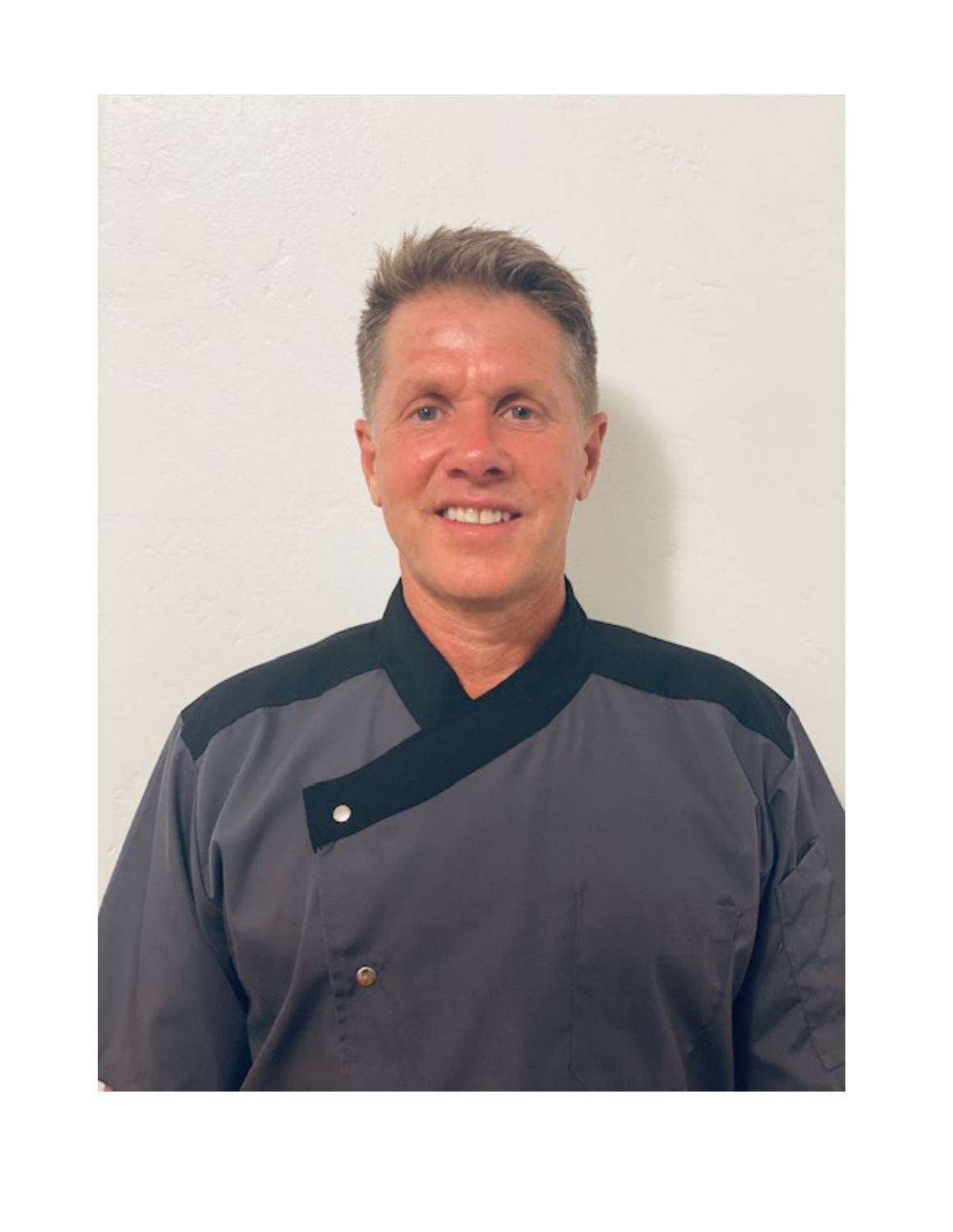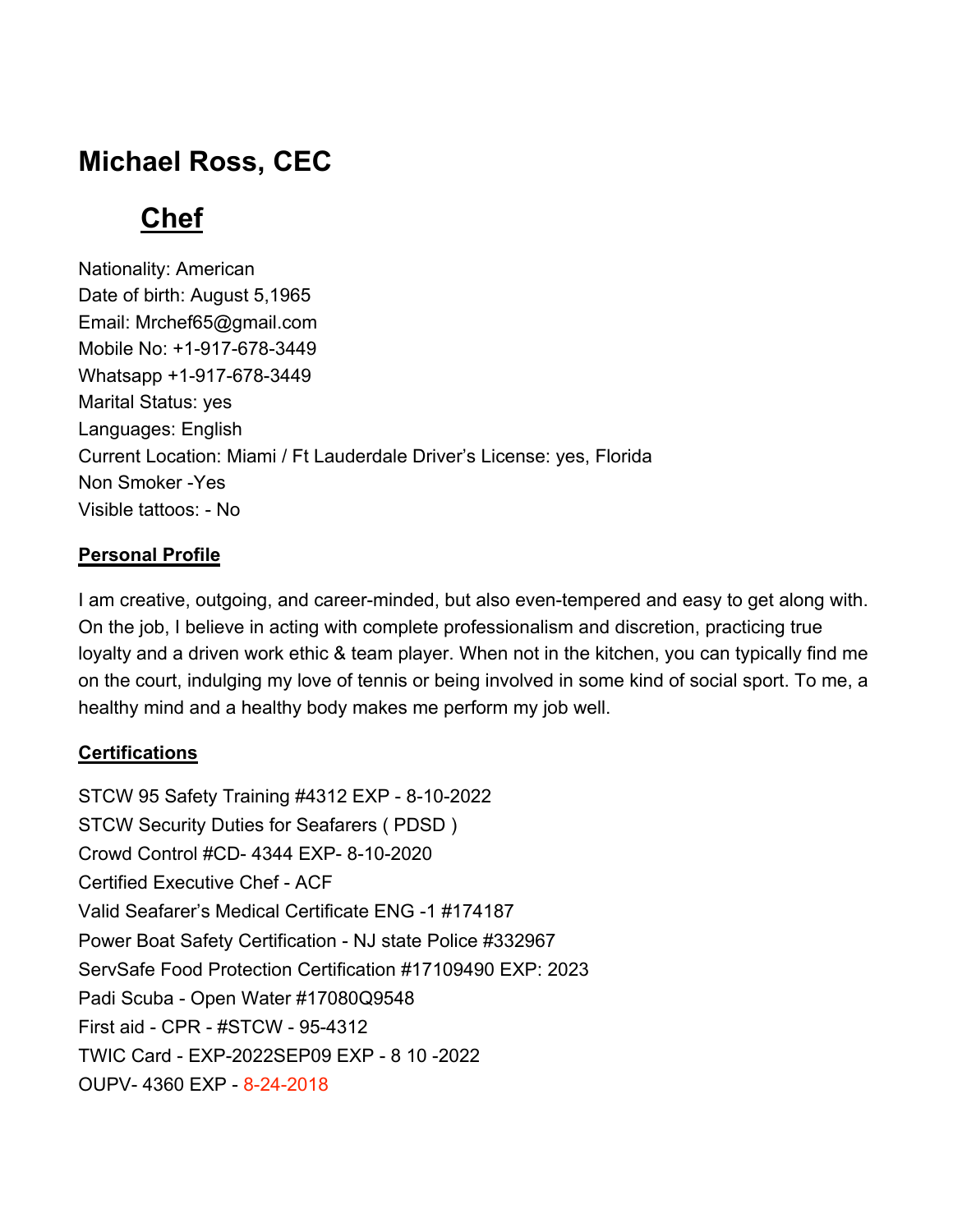# **Michael Ross, CEC**

# **Chef**

Nationality: American Date of birth: August 5,1965 Email: Mrchef65@gmail.com Mobile No: +1-917-678-3449 Whatsapp +1-917-678-3449 Marital Status: yes Languages: English Current Location: Miami / Ft Lauderdale Driver's License: yes, Florida Non Smoker -Yes Visible tattoos: - No

## **Personal Profile**

I am creative, outgoing, and career-minded, but also even-tempered and easy to get along with. On the job, I believe in acting with complete professionalism and discretion, practicing true loyalty and a driven work ethic & team player. When not in the kitchen, you can typically find me on the court, indulging my love of tennis or being involved in some kind of social sport. To me, a healthy mind and a healthy body makes me perform my job well.

## **Certifications**

STCW 95 Safety Training #4312 EXP - 8-10-2022 STCW Security Duties for Seafarers ( PDSD ) Crowd Control #CD- 4344 EXP- 8-10-2020 Certified Executive Chef - ACF Valid Seafarer's Medical Certificate ENG -1 #174187 Power Boat Safety Certification - NJ state Police #332967 ServSafe Food Protection Certification #17109490 EXP: 2023 Padi Scuba - Open Water #17080Q9548 First aid - CPR - #STCW - 95-4312 TWIC Card - EXP-2022SEP09 EXP - 8 10 -2022 OUPV- 4360 EXP - 8-24-2018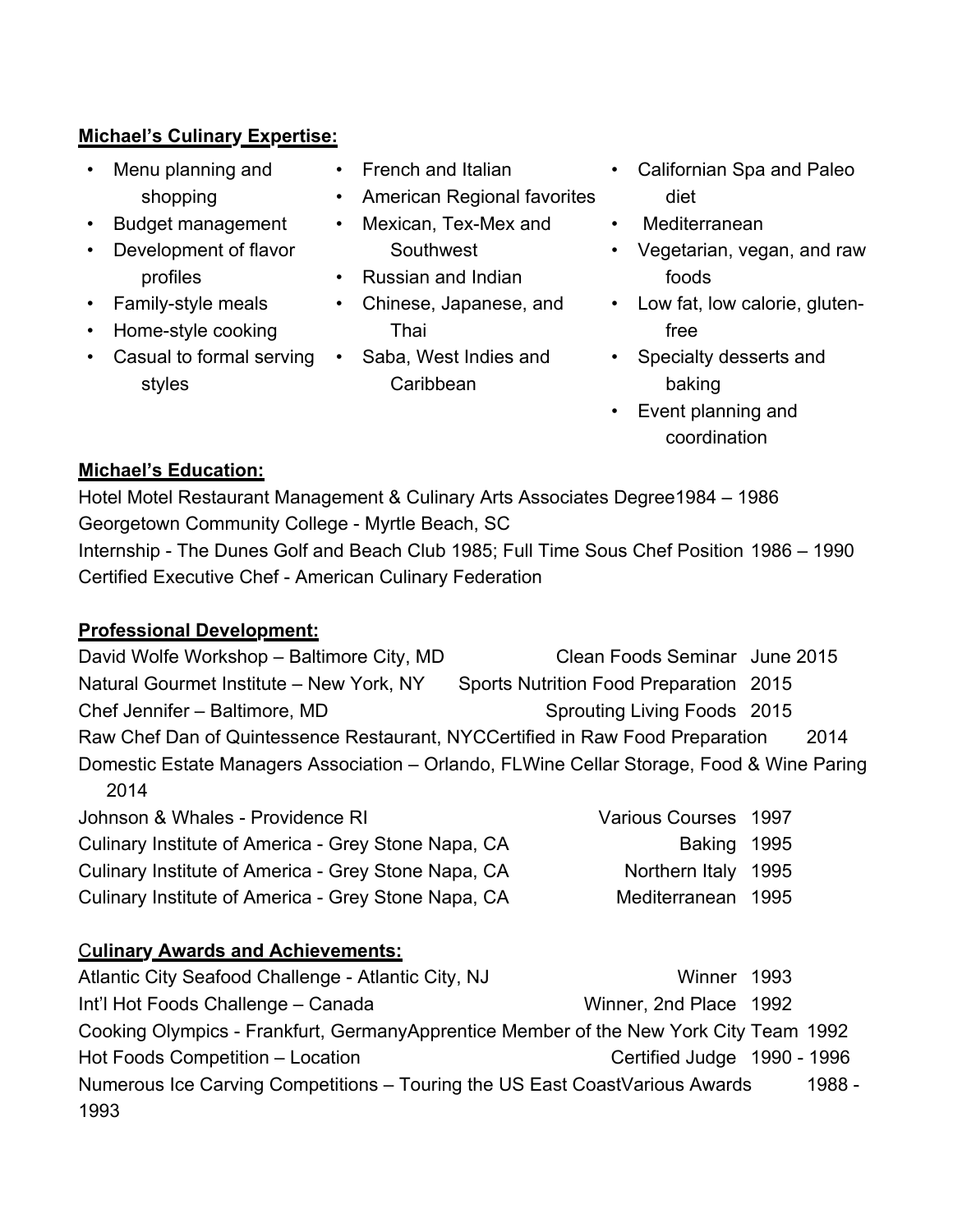## **Michael's Culinary Expertise:**

- Menu planning and shopping
- Budget management
- Development of flavor profiles
- Family-style meals
- Home-style cooking
- Casual to formal serving styles
- French and Italian
- American Regional favorites
- Mexican, Tex-Mex and Southwest
- Russian and Indian
- Chinese, Japanese, and Thai
- Saba, West Indies and **Caribbean**
- Californian Spa and Paleo diet
- Mediterranean
- Vegetarian, vegan, and raw foods
- Low fat, low calorie, glutenfree
- Specialty desserts and baking
- Event planning and coordination

## **Michael's Education:**

Hotel Motel Restaurant Management & Culinary Arts Associates Degree1984 – 1986 Georgetown Community College - Myrtle Beach, SC

Internship - The Dunes Golf and Beach Club 1985; Full Time Sous Chef Position 1986 – 1990 Certified Executive Chef - American Culinary Federation

## **Professional Development:**

David Wolfe Workshop – Baltimore City, MD Clean Foods Seminar June 2015 Natural Gourmet Institute – New York, NY Sports Nutrition Food Preparation 2015 Chef Jennifer – Baltimore, MD Sprouting Living Foods 2015 Raw Chef Dan of Quintessence Restaurant, NYCCertified in Raw Food Preparation 2014 Domestic Estate Managers Association – Orlando, FLWine Cellar Storage, Food & Wine Paring 2014 Johnson & Whales - Providence RI Various Courses 1997 Culinary Institute of America - Grey Stone Napa, CA Baking 1995 Culinary Institute of America - Grey Stone Napa, CA Northern Italy 1995

Culinary Institute of America - Grey Stone Napa, CA Mediterranean 1995

## C**ulinary Awards and Achievements:**

Atlantic City Seafood Challenge - Atlantic City, NJ Winner 1993 Int'l Hot Foods Challenge – Canada Winner, 2nd Place 1992 Cooking Olympics - Frankfurt, GermanyApprentice Member of the New York City Team 1992 Hot Foods Competition – Location Certified Judge 1990 - 1996 Numerous Ice Carving Competitions – Touring the US East CoastVarious Awards 1988 - 1993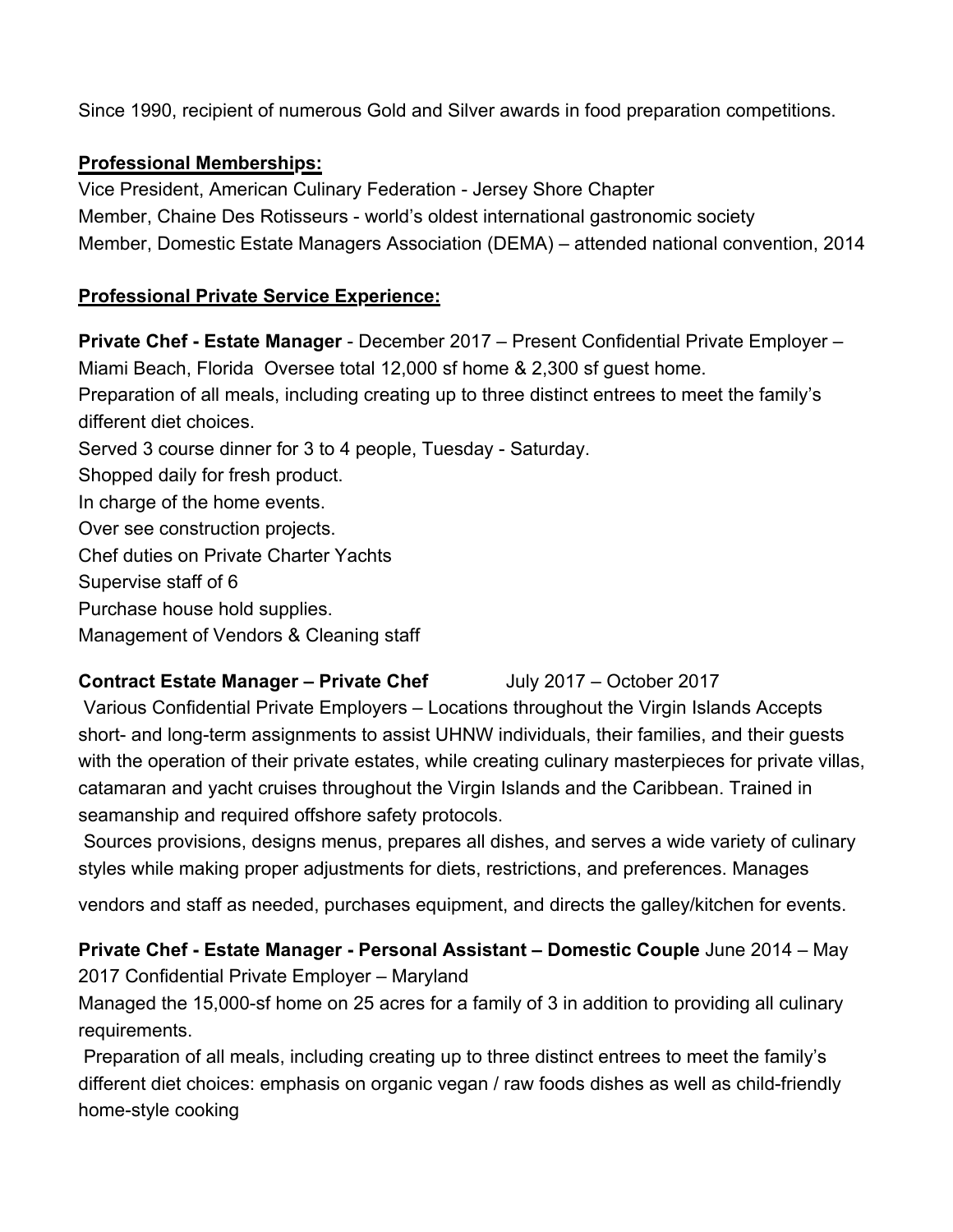Since 1990, recipient of numerous Gold and Silver awards in food preparation competitions.

#### **Professional Memberships:**

Vice President, American Culinary Federation - Jersey Shore Chapter Member, Chaine Des Rotisseurs - world's oldest international gastronomic society Member, Domestic Estate Managers Association (DEMA) – attended national convention, 2014

#### **Professional Private Service Experience:**

**Private Chef - Estate Manager** - December 2017 – Present Confidential Private Employer – Miami Beach, Florida Oversee total 12,000 sf home & 2,300 sf guest home. Preparation of all meals, including creating up to three distinct entrees to meet the family's different diet choices. Served 3 course dinner for 3 to 4 people, Tuesday - Saturday. Shopped daily for fresh product. In charge of the home events. Over see construction projects. Chef duties on Private Charter Yachts Supervise staff of 6 Purchase house hold supplies. Management of Vendors & Cleaning staff

## **Contract Estate Manager – Private Chef** July 2017 – October 2017

 Various Confidential Private Employers – Locations throughout the Virgin Islands Accepts short- and long-term assignments to assist UHNW individuals, their families, and their guests with the operation of their private estates, while creating culinary masterpieces for private villas, catamaran and yacht cruises throughout the Virgin Islands and the Caribbean. Trained in seamanship and required offshore safety protocols.

 Sources provisions, designs menus, prepares all dishes, and serves a wide variety of culinary styles while making proper adjustments for diets, restrictions, and preferences. Manages

vendors and staff as needed, purchases equipment, and directs the galley/kitchen for events.

## **Private Chef - Estate Manager - Personal Assistant – Domestic Couple** June 2014 – May 2017 Confidential Private Employer – Maryland

Managed the 15,000-sf home on 25 acres for a family of 3 in addition to providing all culinary requirements.

 Preparation of all meals, including creating up to three distinct entrees to meet the family's different diet choices: emphasis on organic vegan / raw foods dishes as well as child-friendly home-style cooking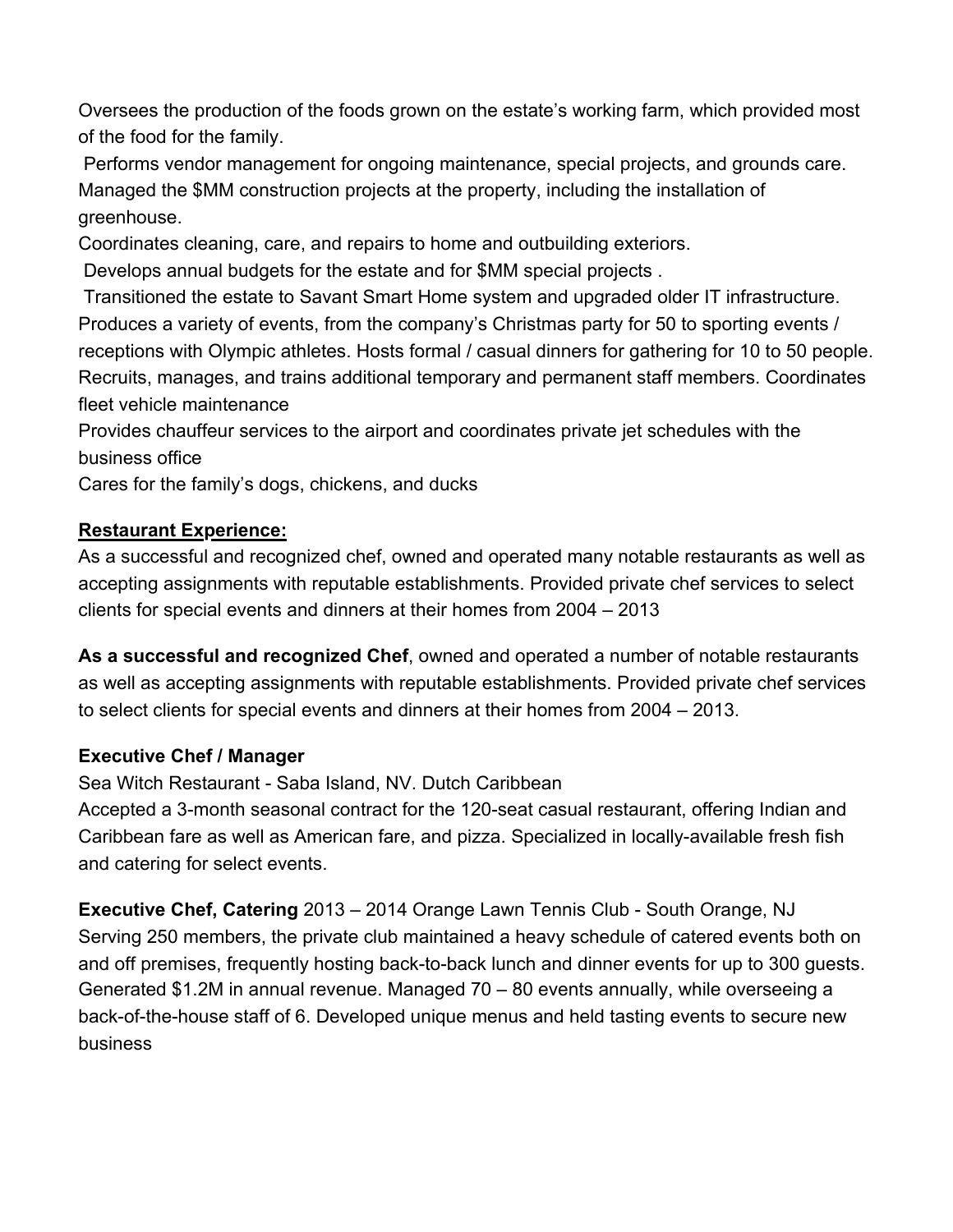Oversees the production of the foods grown on the estate's working farm, which provided most of the food for the family.

 Performs vendor management for ongoing maintenance, special projects, and grounds care. Managed the \$MM construction projects at the property, including the installation of greenhouse.

Coordinates cleaning, care, and repairs to home and outbuilding exteriors.

Develops annual budgets for the estate and for \$MM special projects .

 Transitioned the estate to Savant Smart Home system and upgraded older IT infrastructure. Produces a variety of events, from the company's Christmas party for 50 to sporting events / receptions with Olympic athletes. Hosts formal / casual dinners for gathering for 10 to 50 people. Recruits, manages, and trains additional temporary and permanent staff members. Coordinates fleet vehicle maintenance

Provides chauffeur services to the airport and coordinates private jet schedules with the business office

Cares for the family's dogs, chickens, and ducks

## **Restaurant Experience:**

As a successful and recognized chef, owned and operated many notable restaurants as well as accepting assignments with reputable establishments. Provided private chef services to select clients for special events and dinners at their homes from 2004 – 2013

**As a successful and recognized Chef**, owned and operated a number of notable restaurants as well as accepting assignments with reputable establishments. Provided private chef services to select clients for special events and dinners at their homes from 2004 – 2013.

## **Executive Chef / Manager**

Sea Witch Restaurant - Saba Island, NV. Dutch Caribbean

Accepted a 3-month seasonal contract for the 120-seat casual restaurant, offering Indian and Caribbean fare as well as American fare, and pizza. Specialized in locally-available fresh fish and catering for select events.

**Executive Chef, Catering** 2013 – 2014 Orange Lawn Tennis Club - South Orange, NJ Serving 250 members, the private club maintained a heavy schedule of catered events both on and off premises, frequently hosting back-to-back lunch and dinner events for up to 300 guests. Generated \$1.2M in annual revenue. Managed 70 – 80 events annually, while overseeing a back-of-the-house staff of 6. Developed unique menus and held tasting events to secure new business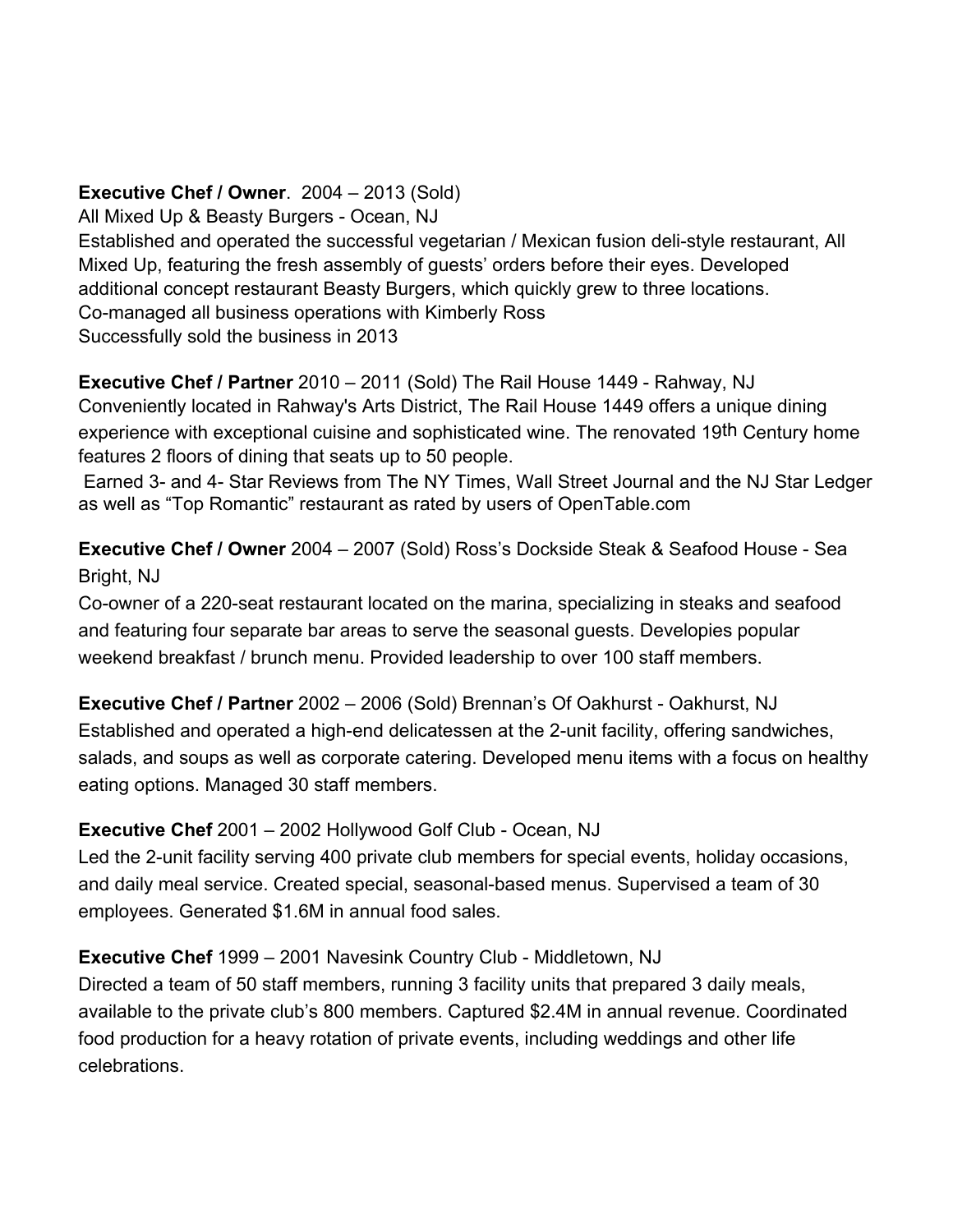#### **Executive Chef / Owner**. 2004 – 2013 (Sold)

All Mixed Up & Beasty Burgers - Ocean, NJ

Established and operated the successful vegetarian / Mexican fusion deli-style restaurant, All Mixed Up, featuring the fresh assembly of guests' orders before their eyes. Developed additional concept restaurant Beasty Burgers, which quickly grew to three locations. Co-managed all business operations with Kimberly Ross Successfully sold the business in 2013

**Executive Chef / Partner** 2010 – 2011 (Sold) The Rail House 1449 - Rahway, NJ Conveniently located in Rahway's Arts District, The Rail House 1449 offers a unique dining experience with exceptional cuisine and sophisticated wine. The renovated 19th Century home features 2 floors of dining that seats up to 50 people.

Earned 3- and 4- Star Reviews from The NY Times, Wall Street Journal and the NJ Star Ledger as well as "Top Romantic" restaurant as rated by users of OpenTable.com

**Executive Chef / Owner** 2004 – 2007 (Sold) Ross's Dockside Steak & Seafood House - Sea Bright, NJ

Co-owner of a 220-seat restaurant located on the marina, specializing in steaks and seafood and featuring four separate bar areas to serve the seasonal guests. Developies popular weekend breakfast / brunch menu. Provided leadership to over 100 staff members.

**Executive Chef / Partner** 2002 – 2006 (Sold) Brennan's Of Oakhurst - Oakhurst, NJ Established and operated a high-end delicatessen at the 2-unit facility, offering sandwiches, salads, and soups as well as corporate catering. Developed menu items with a focus on healthy eating options. Managed 30 staff members.

## **Executive Chef** 2001 – 2002 Hollywood Golf Club - Ocean, NJ

Led the 2-unit facility serving 400 private club members for special events, holiday occasions, and daily meal service. Created special, seasonal-based menus. Supervised a team of 30 employees. Generated \$1.6M in annual food sales.

## **Executive Chef** 1999 – 2001 Navesink Country Club - Middletown, NJ

Directed a team of 50 staff members, running 3 facility units that prepared 3 daily meals, available to the private club's 800 members. Captured \$2.4M in annual revenue. Coordinated food production for a heavy rotation of private events, including weddings and other life celebrations.